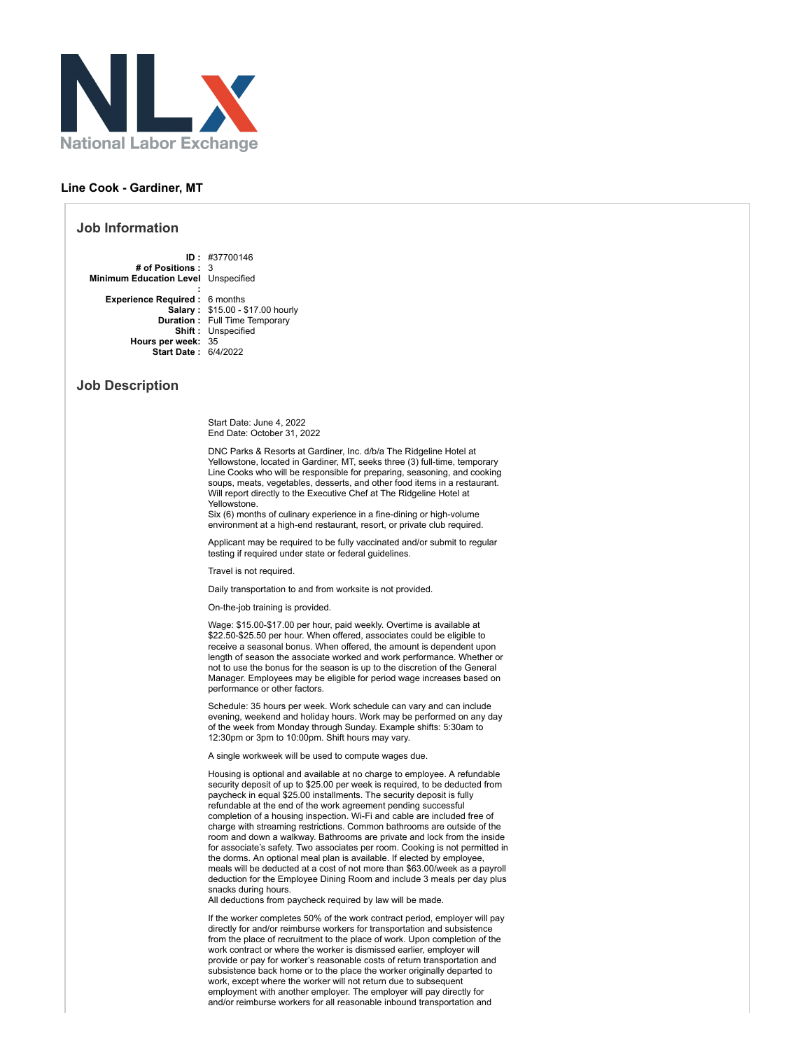

## **Line Cook - Gardiner, MT**

## **Job Information**

**ID :** #37700146 **# of Positions :** 3 **Minimum Education Level** Unspecified

**: Experience Required :** 6 months **Salary :** \$15.00 - \$17.00 hourly **Duration :** Full Time Temporary **Shift :** Unspecified **Hours per week:** 35 **Start Date :** 6/4/2022

## **Job Description**

Start Date: June 4, 2022 End Date: October 31, 2022

DNC Parks & Resorts at Gardiner, Inc. d/b/a The Ridgeline Hotel at Yellowstone, located in Gardiner, MT, seeks three (3) full-time, temporary Line Cooks who will be responsible for preparing, seasoning, and cooking soups, meats, vegetables, desserts, and other food items in a restaurant. Will report directly to the Executive Chef at The Ridgeline Hotel at Yellowstone.

Six (6) months of culinary experience in a fine-dining or high-volume environment at a high-end restaurant, resort, or private club required.

Applicant may be required to be fully vaccinated and/or submit to regular testing if required under state or federal guidelines.

Travel is not required.

Daily transportation to and from worksite is not provided.

On-the-job training is provided.

Wage: \$15.00-\$17.00 per hour, paid weekly. Overtime is available at \$22.50-\$25.50 per hour. When offered, associates could be eligible to receive a seasonal bonus. When offered, the amount is dependent upon length of season the associate worked and work performance. Whether or not to use the bonus for the season is up to the discretion of the General Manager. Employees may be eligible for period wage increases based on performance or other factors.

Schedule: 35 hours per week. Work schedule can vary and can include evening, weekend and holiday hours. Work may be performed on any day of the week from Monday through Sunday. Example shifts: 5:30am to 12:30pm or 3pm to 10:00pm. Shift hours may vary.

A single workweek will be used to compute wages due.

Housing is optional and available at no charge to employee. A refundable security deposit of up to \$25.00 per week is required, to be deducted from paycheck in equal \$25.00 installments. The security deposit is fully refundable at the end of the work agreement pending successful completion of a housing inspection. Wi-Fi and cable are included free of charge with streaming restrictions. Common bathrooms are outside of the room and down a walkway. Bathrooms are private and lock from the inside for associate's safety. Two associates per room. Cooking is not permitted in the dorms. An optional meal plan is available. If elected by employee, meals will be deducted at a cost of not more than \$63.00/week as a payroll deduction for the Employee Dining Room and include 3 meals per day plus snacks during hours.

All deductions from paycheck required by law will be made.

If the worker completes 50% of the work contract period, employer will pay directly for and/or reimburse workers for transportation and subsistence from the place of recruitment to the place of work. Upon completion of the work contract or where the worker is dismissed earlier, employer will provide or pay for worker's reasonable costs of return transportation and subsistence back home or to the place the worker originally departed to work, except where the worker will not return due to subsequent employment with another employer. The employer will pay directly for and/or reimburse workers for all reasonable inbound transportation and